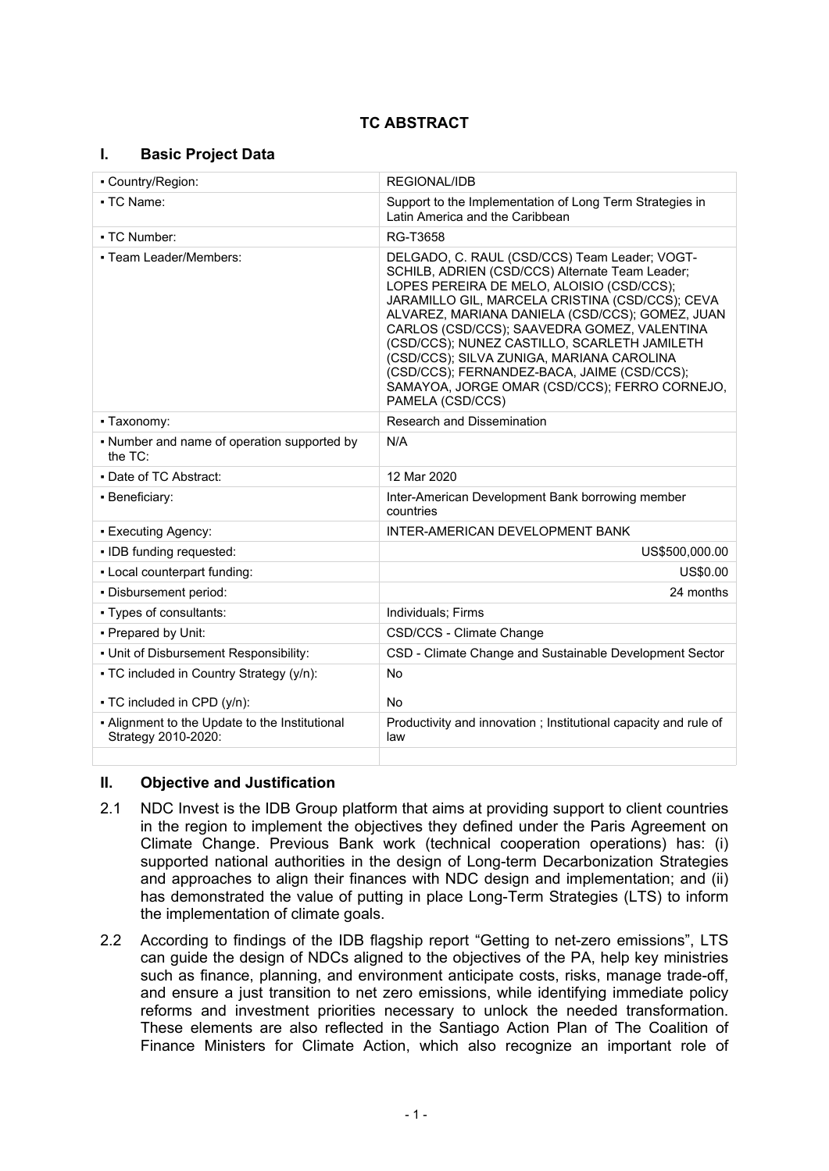# **TC ABSTRACT**

### **I. Basic Project Data**

| • Country/Region:                                                     | REGIONAL/IDB                                                                                                                                                                                                                                                                                                                                                                                                                                                                                                        |  |
|-----------------------------------------------------------------------|---------------------------------------------------------------------------------------------------------------------------------------------------------------------------------------------------------------------------------------------------------------------------------------------------------------------------------------------------------------------------------------------------------------------------------------------------------------------------------------------------------------------|--|
| • TC Name:                                                            | Support to the Implementation of Long Term Strategies in<br>Latin America and the Caribbean                                                                                                                                                                                                                                                                                                                                                                                                                         |  |
| • TC Number:                                                          | RG-T3658                                                                                                                                                                                                                                                                                                                                                                                                                                                                                                            |  |
| - Team Leader/Members:                                                | DELGADO, C. RAUL (CSD/CCS) Team Leader; VOGT-<br>SCHILB, ADRIEN (CSD/CCS) Alternate Team Leader;<br>LOPES PEREIRA DE MELO, ALOISIO (CSD/CCS);<br>JARAMILLO GIL, MARCELA CRISTINA (CSD/CCS); CEVA<br>ALVAREZ, MARIANA DANIELA (CSD/CCS); GOMEZ, JUAN<br>CARLOS (CSD/CCS); SAAVEDRA GOMEZ, VALENTINA<br>(CSD/CCS); NUNEZ CASTILLO, SCARLETH JAMILETH<br>(CSD/CCS); SILVA ZUNIGA, MARIANA CAROLINA<br>(CSD/CCS); FERNANDEZ-BACA, JAIME (CSD/CCS);<br>SAMAYOA, JORGE OMAR (CSD/CCS); FERRO CORNEJO,<br>PAMELA (CSD/CCS) |  |
| • Taxonomy:                                                           | <b>Research and Dissemination</b>                                                                                                                                                                                                                                                                                                                                                                                                                                                                                   |  |
| • Number and name of operation supported by<br>the $TC$ :             | N/A                                                                                                                                                                                                                                                                                                                                                                                                                                                                                                                 |  |
| • Date of TC Abstract:                                                | 12 Mar 2020                                                                                                                                                                                                                                                                                                                                                                                                                                                                                                         |  |
| • Beneficiary:                                                        | Inter-American Development Bank borrowing member<br>countries                                                                                                                                                                                                                                                                                                                                                                                                                                                       |  |
| • Executing Agency:                                                   | INTER-AMERICAN DEVELOPMENT BANK                                                                                                                                                                                                                                                                                                                                                                                                                                                                                     |  |
| · IDB funding requested:                                              | US\$500,000.00                                                                                                                                                                                                                                                                                                                                                                                                                                                                                                      |  |
| - Local counterpart funding:                                          | US\$0.00                                                                                                                                                                                                                                                                                                                                                                                                                                                                                                            |  |
| - Disbursement period:                                                | 24 months                                                                                                                                                                                                                                                                                                                                                                                                                                                                                                           |  |
| • Types of consultants:                                               | Individuals; Firms                                                                                                                                                                                                                                                                                                                                                                                                                                                                                                  |  |
| - Prepared by Unit:                                                   | CSD/CCS - Climate Change                                                                                                                                                                                                                                                                                                                                                                                                                                                                                            |  |
| . Unit of Disbursement Responsibility:                                | CSD - Climate Change and Sustainable Development Sector                                                                                                                                                                                                                                                                                                                                                                                                                                                             |  |
| • TC included in Country Strategy (y/n):                              | <b>No</b>                                                                                                                                                                                                                                                                                                                                                                                                                                                                                                           |  |
| • TC included in CPD (y/n):                                           | No                                                                                                                                                                                                                                                                                                                                                                                                                                                                                                                  |  |
| - Alignment to the Update to the Institutional<br>Strategy 2010-2020: | Productivity and innovation; Institutional capacity and rule of<br>law                                                                                                                                                                                                                                                                                                                                                                                                                                              |  |
|                                                                       |                                                                                                                                                                                                                                                                                                                                                                                                                                                                                                                     |  |

### **II. Objective and Justification**

- 2.1 NDC Invest is the IDB Group platform that aims at providing support to client countries in the region to implement the objectives they defined under the Paris Agreement on Climate Change. Previous Bank work (technical cooperation operations) has: (i) supported national authorities in the design of Long-term Decarbonization Strategies and approaches to align their finances with NDC design and implementation; and (ii) has demonstrated the value of putting in place Long-Term Strategies (LTS) to inform the implementation of climate goals.
- 2.2 According to findings of the IDB flagship report "Getting to net-zero emissions", LTS can guide the design of NDCs aligned to the objectives of the PA, help key ministries such as finance, planning, and environment anticipate costs, risks, manage trade-off, and ensure a just transition to net zero emissions, while identifying immediate policy reforms and investment priorities necessary to unlock the needed transformation. These elements are also reflected in the Santiago Action Plan of The Coalition of Finance Ministers for Climate Action, which also recognize an important role of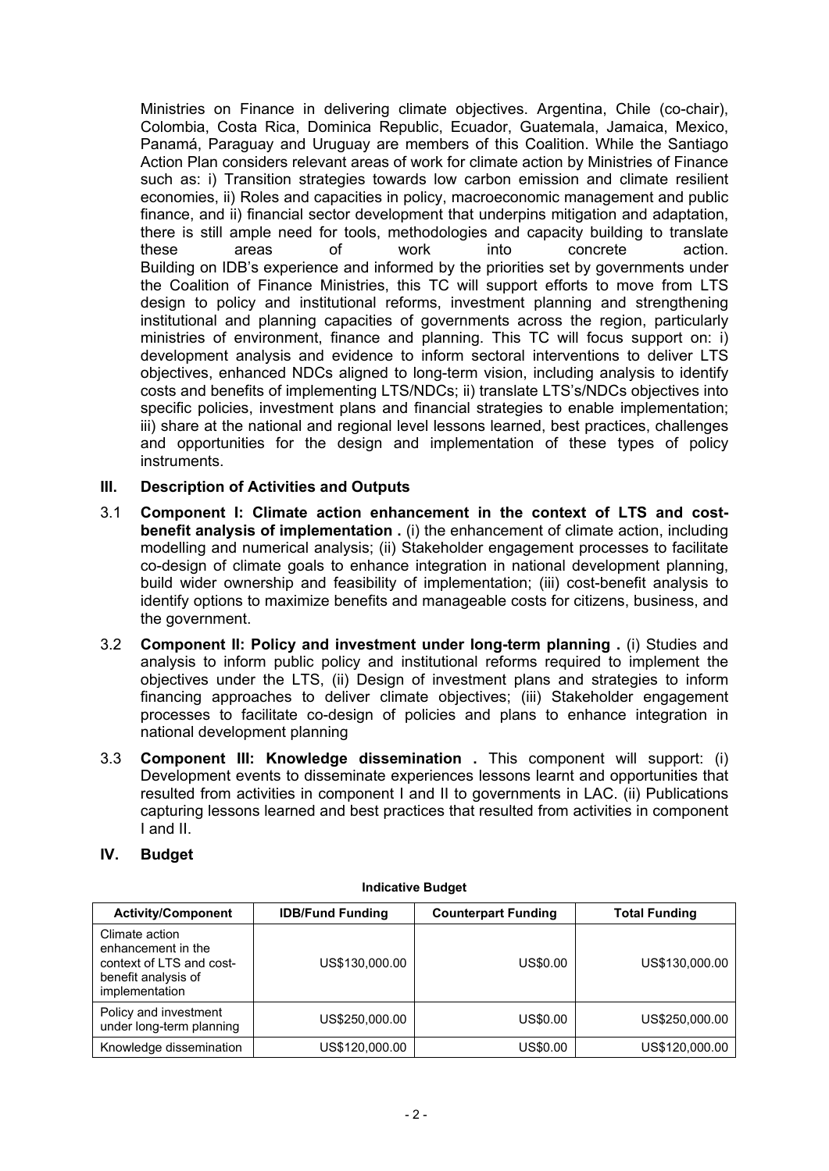Ministries on Finance in delivering climate objectives. Argentina, Chile (co-chair), Colombia, Costa Rica, Dominica Republic, Ecuador, Guatemala, Jamaica, Mexico, Panamá, Paraguay and Uruguay are members of this Coalition. While the Santiago Action Plan considers relevant areas of work for climate action by Ministries of Finance such as: i) Transition strategies towards low carbon emission and climate resilient economies, ii) Roles and capacities in policy, macroeconomic management and public finance, and ii) financial sector development that underpins mitigation and adaptation, there is still ample need for tools, methodologies and capacity building to translate these areas of work into concrete action. Building on IDB's experience and informed by the priorities set by governments under the Coalition of Finance Ministries, this TC will support efforts to move from LTS design to policy and institutional reforms, investment planning and strengthening institutional and planning capacities of governments across the region, particularly ministries of environment, finance and planning. This TC will focus support on: i) development analysis and evidence to inform sectoral interventions to deliver LTS objectives, enhanced NDCs aligned to long-term vision, including analysis to identify costs and benefits of implementing LTS/NDCs; ii) translate LTS's/NDCs objectives into specific policies, investment plans and financial strategies to enable implementation; iii) share at the national and regional level lessons learned, best practices, challenges and opportunities for the design and implementation of these types of policy instruments.

### **III. Description of Activities and Outputs**

- 3.1 **Component I: Climate action enhancement in the context of LTS and costbenefit analysis of implementation** . (i) the enhancement of climate action, including modelling and numerical analysis; (ii) Stakeholder engagement processes to facilitate co-design of climate goals to enhance integration in national development planning, build wider ownership and feasibility of implementation; (iii) cost-benefit analysis to identify options to maximize benefits and manageable costs for citizens, business, and the government.
- 3.2 **Component II: Policy and investment under long-term planning .** (i) Studies and analysis to inform public policy and institutional reforms required to implement the objectives under the LTS, (ii) Design of investment plans and strategies to inform financing approaches to deliver climate objectives; (iii) Stakeholder engagement processes to facilitate co-design of policies and plans to enhance integration in national development planning
- 3.3 **Component III: Knowledge dissemination .** This component will support: (i) Development events to disseminate experiences lessons learnt and opportunities that resulted from activities in component I and II to governments in LAC. (ii) Publications capturing lessons learned and best practices that resulted from activities in component I and II.

### **IV. Budget**

| <b>Activity/Component</b>                                                                                 | <b>IDB/Fund Funding</b> | <b>Counterpart Funding</b> | <b>Total Funding</b> |
|-----------------------------------------------------------------------------------------------------------|-------------------------|----------------------------|----------------------|
| Climate action<br>enhancement in the<br>context of LTS and cost-<br>benefit analysis of<br>implementation | US\$130,000.00          | US\$0.00                   | US\$130,000.00       |
| Policy and investment<br>under long-term planning                                                         | US\$250,000.00          | US\$0.00                   | US\$250,000.00       |
| Knowledge dissemination                                                                                   | US\$120,000.00          | US\$0.00                   | US\$120,000.00       |

#### **Indicative Budget**